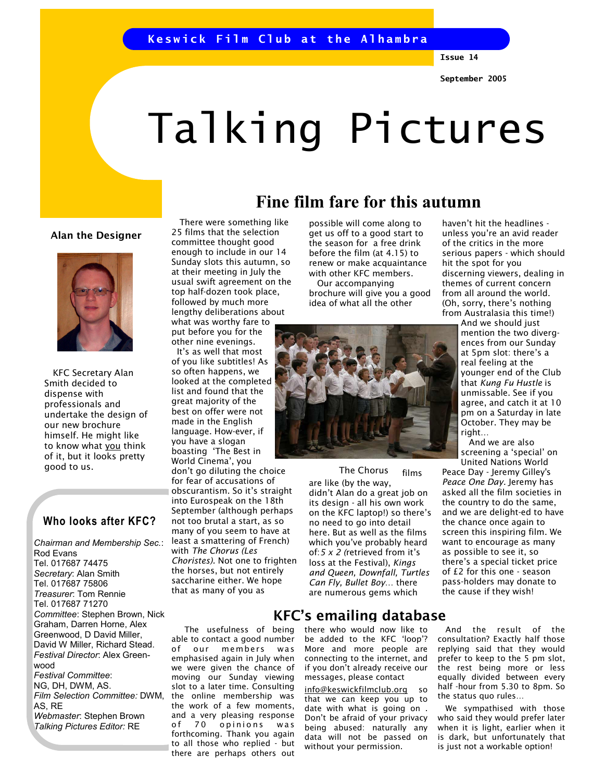## Keswick Film Club at the Alhambra

Issue 14

# Talking Pictures

#### Alan the Designer



 KFC Secretary Alan Smith decided to dispense with professionals and undertake the design of our new brochure himself. He might like to know what you think of it, but it looks pretty

## Who looks after KFC?

Chairman and Membership Sec.: Rod Evans Tel. 017687 74475 Secretary: Alan Smith Tel. 017687 75806 Treasurer: Tom Rennie Tel. 017687 71270 Committee: Stephen Brown, Nick Graham, Darren Horne, Alex Greenwood, D David Miller, David W Miller, Richard Stead. Festival Director: Alex Greenwood Festival Committee: NG, DH, DWM, AS. Film Selection Committee: DWM, the online membership was AS, RE Webmaster: Stephen Brown Talking Pictures Editor: RE

 There were something like 25 films that the selection committee thought good enough to include in our 14 Sunday slots this autumn, so at their meeting in July the usual swift agreement on the top half-dozen took place, followed by much more lengthy deliberations about what was worthy fare to put before you for the

other nine evenings. It's as well that most of you like subtitles! As so often happens, we looked at the completed list and found that the great majority of the best on offer were not made in the English language. How-ever, if you have a slogan boasting 'The Best in World Cinema', you good to us. The Chorus don't go diluting the choice The Chorus for fear of accusations of obscurantism. So it's straight into Eurospeak on the 18th September (although perhaps not too brutal a start, as so

many of you seem to have at least a smattering of French) with The Chorus (Les Choristes). Not one to frighten the horses, but not entirely saccharine either. We hope that as many of you as

 The usefulness of being able to contact a good number of our members was emphasised again in July when we were given the chance of moving our Sunday viewing slot to a later time. Consulting the work of a few moments, and a very pleasing response of 70 opinions was forthcoming. Thank you again to all those who replied - but there are perhaps others out

## Fine film fare for this autumn

possible will come along to get us off to a good start to the season for a free drink before the film (at 4.15) to renew or make acquaintance with other KFC members.

 Our accompanying brochure will give you a good idea of what all the other



films are like (by the way, didn't Alan do a great job on its design - all his own work on the KFC laptop!) so there's no need to go into detail here. But as well as the films which you've probably heard of:5 x 2 (retrieved from it's loss at the Festival), Kings and Queen, Downfall, Turtles Can Fly, Bullet Boy… there are numerous gems which

## KFC's emailing database

there who would now like to be added to the KFC 'loop'? More and more people are connecting to the internet, and if you don't already receive our messages, please contact

info@keswickfilmclub.org so that we can keep you up to date with what is going on . Don't be afraid of your privacy being abused: naturally any data will not be passed on without your permission.

haven't hit the headlines unless you're an avid reader of the critics in the more serious papers - which should hit the spot for you discerning viewers, dealing in themes of current concern from all around the world. (Oh, sorry, there's nothing from Australasia this time!)

> And we should just mention the two divergences from our Sunday at 5pm slot: there's a real feeling at the younger end of the Club that Kung Fu Hustle is unmissable. See if you agree, and catch it at 10 pm on a Saturday in late October. They may be right…

 And we are also screening a 'special' on United Nations World

Peace Day - Jeremy Gilley's Peace One Day. Jeremy has asked all the film societies in the country to do the same, and we are delight-ed to have the chance once again to screen this inspiring film. We want to encourage as many as possible to see it, so there's a special ticket price of £2 for this one - season pass-holders may donate to the cause if they wish!

 And the result of the consultation? Exactly half those replying said that they would prefer to keep to the 5 pm slot, the rest being more or less equally divided between every half -hour from 5.30 to 8pm. So the status quo rules…

 We sympathised with those who said they would prefer later when it is light, earlier when it is dark, but unfortunately that is just not a workable option!